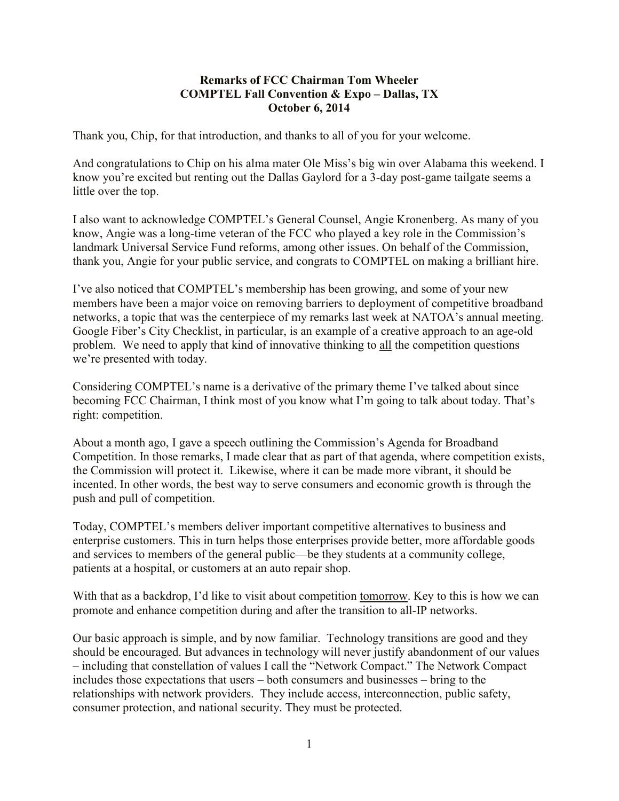## **Remarks of FCC Chairman Tom Wheeler COMPTEL Fall Convention & Expo – Dallas, TX October 6, 2014**

Thank you, Chip, for that introduction, and thanks to all of you for your welcome.

And congratulations to Chip on his alma mater Ole Miss's big win over Alabama this weekend. I know you're excited but renting out the Dallas Gaylord for a 3-day post-game tailgate seems a little over the top.

I also want to acknowledge COMPTEL's General Counsel, Angie Kronenberg. As many of you know, Angie was a long-time veteran of the FCC who played a key role in the Commission's landmark Universal Service Fund reforms, among other issues. On behalf of the Commission, thank you, Angie for your public service, and congrats to COMPTEL on making a brilliant hire.

I've also noticed that COMPTEL's membership has been growing, and some of your new members have been a major voice on removing barriers to deployment of competitive broadband networks, a topic that was the centerpiece of my remarks last week at NATOA's annual meeting. Google Fiber's City Checklist, in particular, is an example of a creative approach to an age-old problem. We need to apply that kind of innovative thinking to all the competition questions we're presented with today.

Considering COMPTEL's name is a derivative of the primary theme I've talked about since becoming FCC Chairman, I think most of you know what I'm going to talk about today. That's right: competition.

About a month ago, I gave a speech outlining the Commission's Agenda for Broadband Competition. In those remarks, I made clear that as part of that agenda, where competition exists, the Commission will protect it. Likewise, where it can be made more vibrant, it should be incented. In other words, the best way to serve consumers and economic growth is through the push and pull of competition.

Today, COMPTEL's members deliver important competitive alternatives to business and enterprise customers. This in turn helps those enterprises provide better, more affordable goods and services to members of the general public—be they students at a community college, patients at a hospital, or customers at an auto repair shop.

With that as a backdrop, I'd like to visit about competition tomorrow. Key to this is how we can promote and enhance competition during and after the transition to all-IP networks.

Our basic approach is simple, and by now familiar. Technology transitions are good and they should be encouraged. But advances in technology will never justify abandonment of our values – including that constellation of values I call the "Network Compact." The Network Compact includes those expectations that users – both consumers and businesses – bring to the relationships with network providers. They include access, interconnection, public safety, consumer protection, and national security. They must be protected.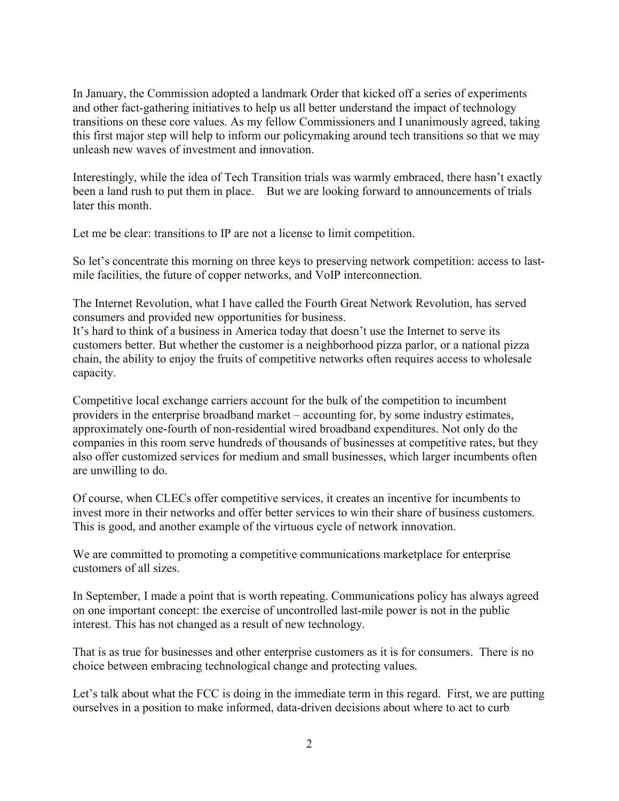In January, the Commission adopted a landmark Order that kicked off a series of experiments and other fact-gathering initiatives to help us all better understand the impact of technology transitions on these core values. As my fellow Commissioners and I unanimously agreed, taking this first major step will help to inform our policymaking around tech transitions so that we may unleash new waves of investment and innovation.

Interestingly, while the idea of Tech Transition trials was warmly embraced, there hasn't exactly been a land rush to put them in place. But we are looking forward to announcements of trials later this month.

Let me be clear: transitions to IP are not a license to limit competition.

So let's concentrate this morning on three keys to preserving network competition: access to lastmile facilities, the future of copper networks, and VoIP interconnection.

The Internet Revolution, what I have called the Fourth Great Network Revolution, has served consumers and provided new opportunities for business.

It's hard to think of a business in America today that doesn't use the Internet to serve its customers better. But whether the customer is a neighborhood pizza parlor, or a national pizza chain, the ability to enjoy the fruits of competitive networks often requires access to wholesale capacity.

Competitive local exchange carriers account for the bulk of the competition to incumbent providers in the enterprise broadband market – accounting for, by some industry estimates, approximately one-fourth of non-residential wired broadband expenditures. Not only do the companies in this room serve hundreds of thousands of businesses at competitive rates, but they also offer customized services for medium and small businesses, which larger incumbents often are unwilling to do.

Of course, when CLECs offer competitive services, it creates an incentive for incumbents to invest more in their networks and offer better services to win their share of business customers. This is good, and another example of the virtuous cycle of network innovation.

We are committed to promoting a competitive communications marketplace for enterprise customers of all sizes.

In September, I made a point that is worth repeating. Communications policy has always agreed on one important concept: the exercise of uncontrolled last-mile power is not in the public interest. This has not changed as a result of new technology.

That is as true for businesses and other enterprise customers as it is for consumers. There is no choice between embracing technological change and protecting values.

Let's talk about what the FCC is doing in the immediate term in this regard. First, we are putting ourselves in a position to make informed, data-driven decisions about where to act to curb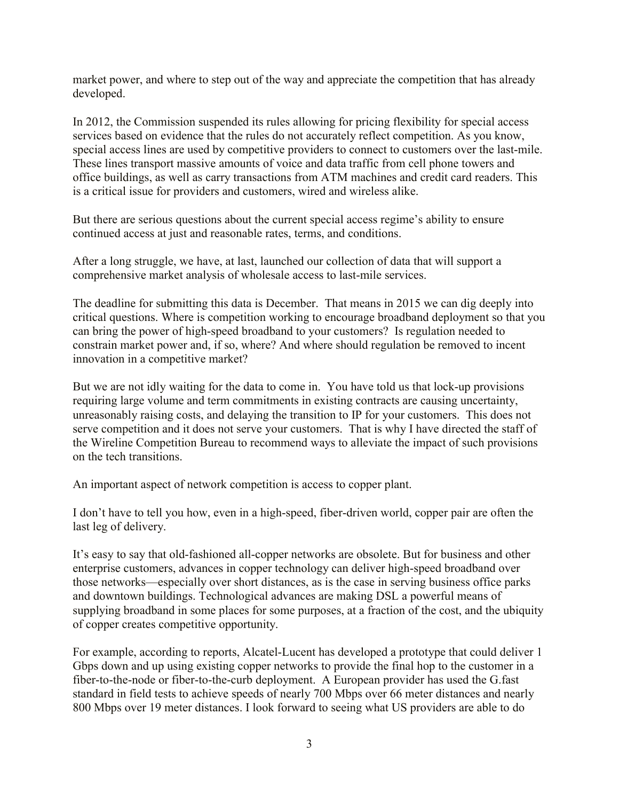market power, and where to step out of the way and appreciate the competition that has already developed.

In 2012, the Commission suspended its rules allowing for pricing flexibility for special access services based on evidence that the rules do not accurately reflect competition. As you know, special access lines are used by competitive providers to connect to customers over the last-mile. These lines transport massive amounts of voice and data traffic from cell phone towers and office buildings, as well as carry transactions from ATM machines and credit card readers. This is a critical issue for providers and customers, wired and wireless alike.

But there are serious questions about the current special access regime's ability to ensure continued access at just and reasonable rates, terms, and conditions.

After a long struggle, we have, at last, launched our collection of data that will support a comprehensive market analysis of wholesale access to last-mile services.

The deadline for submitting this data is December. That means in 2015 we can dig deeply into critical questions. Where is competition working to encourage broadband deployment so that you can bring the power of high-speed broadband to your customers? Is regulation needed to constrain market power and, if so, where? And where should regulation be removed to incent innovation in a competitive market?

But we are not idly waiting for the data to come in. You have told us that lock-up provisions requiring large volume and term commitments in existing contracts are causing uncertainty, unreasonably raising costs, and delaying the transition to IP for your customers. This does not serve competition and it does not serve your customers. That is why I have directed the staff of the Wireline Competition Bureau to recommend ways to alleviate the impact of such provisions on the tech transitions.

An important aspect of network competition is access to copper plant.

I don't have to tell you how, even in a high-speed, fiber-driven world, copper pair are often the last leg of delivery.

It's easy to say that old-fashioned all-copper networks are obsolete. But for business and other enterprise customers, advances in copper technology can deliver high-speed broadband over those networks—especially over short distances, as is the case in serving business office parks and downtown buildings. Technological advances are making DSL a powerful means of supplying broadband in some places for some purposes, at a fraction of the cost, and the ubiquity of copper creates competitive opportunity.

For example, according to reports, Alcatel-Lucent has developed a prototype that could deliver 1 Gbps down and up using existing copper networks to provide the final hop to the customer in a fiber-to-the-node or fiber-to-the-curb deployment. A European provider has used the G.fast standard in field tests to achieve speeds of nearly 700 Mbps over 66 meter distances and nearly 800 Mbps over 19 meter distances. I look forward to seeing what US providers are able to do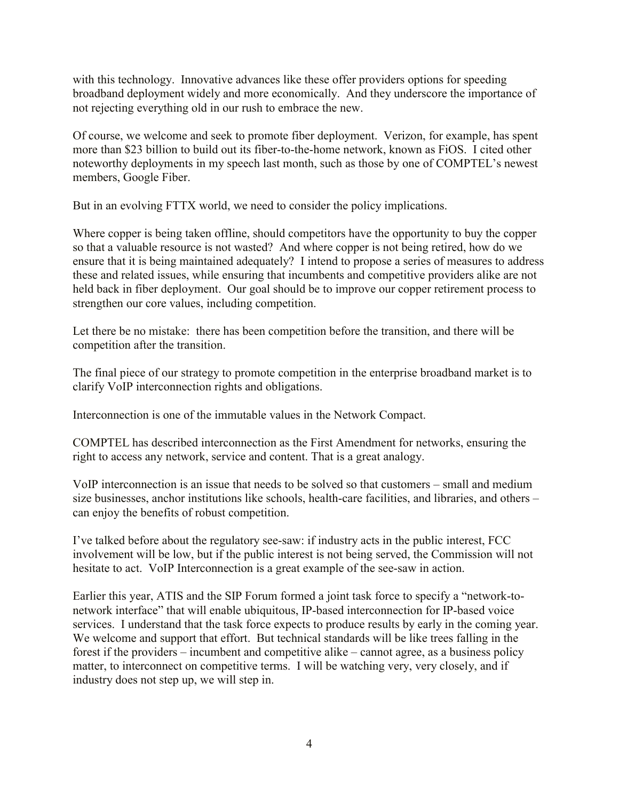with this technology. Innovative advances like these offer providers options for speeding broadband deployment widely and more economically. And they underscore the importance of not rejecting everything old in our rush to embrace the new.

Of course, we welcome and seek to promote fiber deployment. Verizon, for example, has spent more than \$23 billion to build out its fiber-to-the-home network, known as FiOS. I cited other noteworthy deployments in my speech last month, such as those by one of COMPTEL's newest members, Google Fiber.

But in an evolving FTTX world, we need to consider the policy implications.

Where copper is being taken offline, should competitors have the opportunity to buy the copper so that a valuable resource is not wasted? And where copper is not being retired, how do we ensure that it is being maintained adequately? I intend to propose a series of measures to address these and related issues, while ensuring that incumbents and competitive providers alike are not held back in fiber deployment. Our goal should be to improve our copper retirement process to strengthen our core values, including competition.

Let there be no mistake: there has been competition before the transition, and there will be competition after the transition.

The final piece of our strategy to promote competition in the enterprise broadband market is to clarify VoIP interconnection rights and obligations.

Interconnection is one of the immutable values in the Network Compact.

COMPTEL has described interconnection as the First Amendment for networks, ensuring the right to access any network, service and content. That is a great analogy.

VoIP interconnection is an issue that needs to be solved so that customers – small and medium size businesses, anchor institutions like schools, health-care facilities, and libraries, and others – can enjoy the benefits of robust competition.

I've talked before about the regulatory see-saw: if industry acts in the public interest, FCC involvement will be low, but if the public interest is not being served, the Commission will not hesitate to act. VoIP Interconnection is a great example of the see-saw in action.

Earlier this year, ATIS and the SIP Forum formed a joint task force to specify a "network-tonetwork interface" that will enable ubiquitous, IP-based interconnection for IP-based voice services. I understand that the task force expects to produce results by early in the coming year. We welcome and support that effort. But technical standards will be like trees falling in the forest if the providers – incumbent and competitive alike – cannot agree, as a business policy matter, to interconnect on competitive terms. I will be watching very, very closely, and if industry does not step up, we will step in.